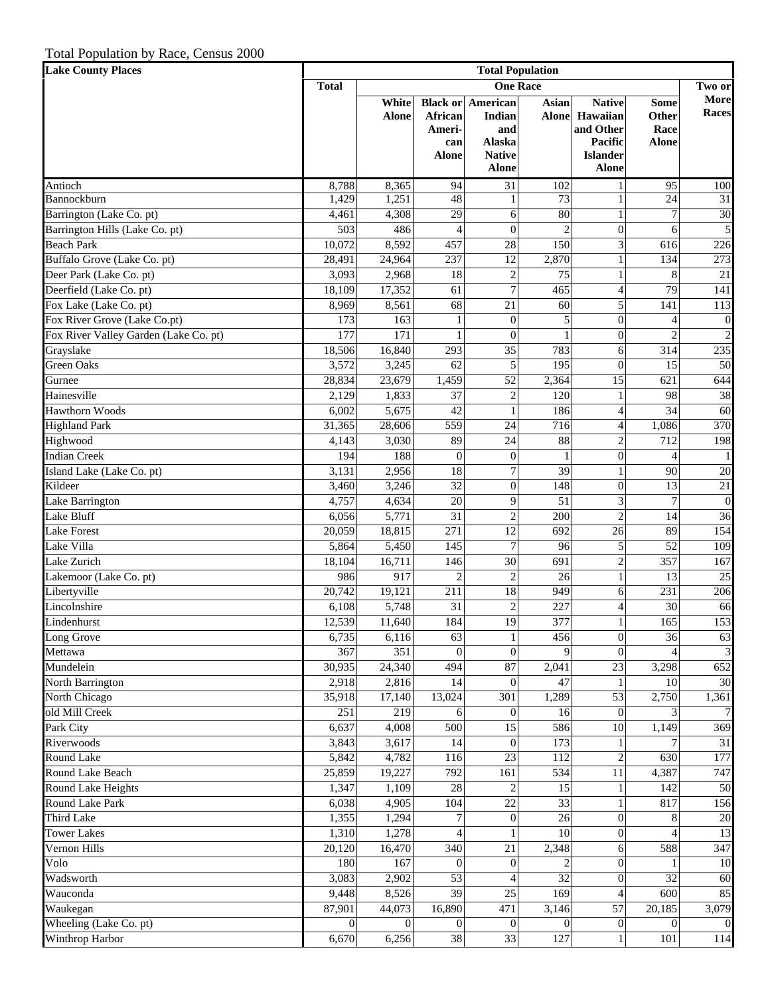| <b>Lake County Places</b>             | <b>Total Population</b>         |                       |                                          |                                                                                      |                       |                                                                                      |                                              |                         |  |
|---------------------------------------|---------------------------------|-----------------------|------------------------------------------|--------------------------------------------------------------------------------------|-----------------------|--------------------------------------------------------------------------------------|----------------------------------------------|-------------------------|--|
|                                       | <b>Total</b><br><b>One Race</b> |                       |                                          |                                                                                      |                       |                                                                                      |                                              |                         |  |
|                                       |                                 | White<br><b>Alone</b> | African<br>Ameri-<br>can<br><b>Alone</b> | <b>Black or American</b><br>Indian<br>and<br>Alaska<br><b>Native</b><br><b>Alone</b> | Asian<br><b>Alone</b> | <b>Native</b><br>Hawaiian<br>and Other<br>Pacific<br><b>Islander</b><br><b>Alone</b> | <b>Some</b><br>Other<br>Race<br><b>Alone</b> | More<br><b>Races</b>    |  |
| Antioch                               | 8,788                           | 8,365                 | 94                                       | 31                                                                                   | 102                   | 1                                                                                    | 95                                           | 100                     |  |
| Bannockburn                           | 1,429                           | 1,251                 | $\overline{48}$                          |                                                                                      | 73                    | 1                                                                                    | 24                                           | 31                      |  |
| Barrington (Lake Co. pt)              | 4,461                           | 4,308                 | 29                                       | 6                                                                                    | 80                    | 1                                                                                    | $\overline{7}$                               | 30                      |  |
| Barrington Hills (Lake Co. pt)        | 503                             | 486                   | $\overline{4}$                           | $\overline{0}$                                                                       | $\mathfrak{D}$        | $\overline{0}$                                                                       | 6                                            | $\sqrt{5}$              |  |
| <b>Beach Park</b>                     | 10,072                          | 8,592                 | 457                                      | 28                                                                                   | 150                   | $\overline{\mathbf{3}}$                                                              | 616                                          | 226                     |  |
| Buffalo Grove (Lake Co. pt)           | 28,491                          | 24,964                | 237                                      | 12                                                                                   | 2,870                 | $\mathbf{1}$                                                                         | 134                                          | 273                     |  |
| Deer Park (Lake Co. pt)               | 3,093                           | 2,968                 | 18                                       | $\sqrt{2}$                                                                           | 75                    | 1                                                                                    | 8                                            | $21\,$                  |  |
| Deerfield (Lake Co. pt)               | 18,109                          | 17,352                | 61                                       | $\tau$                                                                               | 465                   | $\overline{\mathcal{L}}$                                                             | 79                                           | 141                     |  |
| Fox Lake (Lake Co. pt)                | 8,969                           | 8,561                 | 68                                       | 21                                                                                   | 60                    | 5                                                                                    | 141                                          | 113                     |  |
| Fox River Grove (Lake Co.pt)          | 173                             | 163                   |                                          | $\overline{0}$                                                                       | 5                     | $\overline{0}$                                                                       | 4                                            | $\boldsymbol{0}$        |  |
| Fox River Valley Garden (Lake Co. pt) | 177                             | 171                   |                                          | $\theta$                                                                             |                       | $\overline{0}$                                                                       | $\overline{2}$                               | $\sqrt{2}$              |  |
| Grayslake                             | 18,506                          | 16,840                | 293                                      | 35                                                                                   | 783                   | 6                                                                                    | 314                                          | 235                     |  |
| <b>Green Oaks</b>                     | 3,572                           | 3,245                 | 62                                       | 5                                                                                    | 195                   | $\mathbf{0}$                                                                         | 15                                           | 50                      |  |
| Gurnee                                | 28,834                          | 23,679                | 1,459                                    | 52                                                                                   | 2,364                 | 15                                                                                   | 621                                          | 644                     |  |
| Hainesville                           | 2,129                           | 1,833                 | $\overline{37}$                          | $\sqrt{2}$                                                                           | 120                   | $\mathbf{1}$                                                                         | 98                                           | 38                      |  |
| <b>Hawthorn Woods</b>                 | 6,002                           | 5,675                 | $\overline{42}$                          | $\mathbf{1}$                                                                         | 186                   | $\overline{\mathcal{L}}$                                                             | 34                                           | 60                      |  |
| <b>Highland Park</b>                  | 31,365                          | 28,606                | 559                                      | 24                                                                                   | 716                   | $\overline{\mathcal{L}}$                                                             | 1,086                                        | 370                     |  |
| Highwood                              | 4,143                           | 3,030                 | 89                                       | 24                                                                                   | 88                    | $\overline{c}$                                                                       | 712                                          | 198                     |  |
| <b>Indian Creek</b>                   | 194                             | 188                   | $\overline{0}$                           | $\overline{0}$                                                                       |                       | $\boldsymbol{0}$                                                                     | 4                                            | $\mathbf{1}$            |  |
| Island Lake (Lake Co. pt)             | 3,131                           | 2,956                 | $\overline{18}$                          | 7                                                                                    | 39                    | 1                                                                                    | 90                                           | 20                      |  |
| Kildeer                               | 3,460                           | 3,246                 | $\overline{32}$                          | $\overline{0}$                                                                       | 148                   | $\overline{0}$                                                                       | 13                                           | $21\,$                  |  |
| Lake Barrington                       | 4,757                           | 4,634                 | 20                                       | 9                                                                                    | 51                    | 3                                                                                    | 7                                            | $\boldsymbol{0}$        |  |
| Lake Bluff                            | 6,056                           | 5,771                 | $\overline{31}$                          | $\mathbf{2}$                                                                         | 200                   | $\overline{2}$                                                                       | 14                                           | 36                      |  |
| <b>Lake Forest</b>                    | 20,059                          | 18,815                | 271                                      | 12                                                                                   | 692                   | 26                                                                                   | 89                                           | 154                     |  |
| Lake Villa                            | 5,864                           | 5,450                 | 145                                      | $\tau$                                                                               | 96                    | 5                                                                                    | 52                                           | 109                     |  |
| Lake Zurich                           | 18,104                          | 16,711                | 146                                      | 30                                                                                   | 691                   | $\overline{c}$                                                                       | 357                                          | 167                     |  |
| Lakemoor (Lake Co. pt)                | 986                             | 917                   | $\overline{c}$                           | $\mathbf{2}$                                                                         | 26                    | $\mathbf{1}$                                                                         | 13                                           | $\overline{25}$         |  |
| Libertyville                          | 20,742                          | 19,121                | 211                                      | 18                                                                                   | 949                   | 6                                                                                    | 231                                          | 206                     |  |
| Lincolnshire                          | 6,108                           | 5,748                 | 31                                       | $\overline{c}$                                                                       | 227                   | 4                                                                                    | 30                                           | 66                      |  |
| Lindenhurst                           | 12,539                          | 11,640                | 184                                      | 19                                                                                   | 377                   | 1                                                                                    | 165                                          | 153                     |  |
| Long Grove                            | 6,735                           | 6,116                 | 63                                       | $\mathbf{1}$                                                                         | 456                   | $\mathbf{0}$                                                                         | 36                                           | 63                      |  |
| Mettawa                               | 367                             | 351                   | $\Omega$                                 | $\theta$                                                                             | $\Omega$              | $\Omega$                                                                             |                                              | $\overline{\mathbf{3}}$ |  |
| Mundelein                             | 30,935                          | 24,340                | 494                                      | 87                                                                                   | 2,041                 | 23                                                                                   | 3,298                                        | 652                     |  |
| North Barrington                      | 2,918                           | 2,816                 | 14                                       | $\overline{0}$                                                                       | 47                    | $\mathbf{1}$                                                                         | 10                                           | 30                      |  |
| North Chicago                         | 35,918                          | 17,140                | 13,024                                   | 301                                                                                  | 1,289                 | 53                                                                                   | 2,750                                        | 1,361                   |  |
| old Mill Creek                        | 251                             | 219                   | 6                                        | $\Omega$                                                                             | 16                    | $\mathbf{0}$                                                                         |                                              | 7                       |  |
| Park City                             | 6,637                           | 4,008                 | 500                                      | 15                                                                                   | 586                   | 10                                                                                   | 1,149                                        | 369                     |  |
| Riverwoods                            | 3,843                           | 3,617                 | 14                                       | $\overline{0}$                                                                       | 173                   | 1                                                                                    |                                              | 31                      |  |
| Round Lake                            | 5,842                           | 4,782                 | 116                                      | 23                                                                                   | 112                   | $\overline{c}$                                                                       | 630                                          | 177                     |  |
| Round Lake Beach                      | 25,859                          | 19,227                | 792                                      | 161                                                                                  | 534                   | 11                                                                                   | 4,387                                        | 747                     |  |
| Round Lake Heights                    | 1,347                           | 1,109                 | $\overline{28}$                          | 2                                                                                    | 15                    | $\mathbf{1}$                                                                         | 142                                          | 50                      |  |
| Round Lake Park                       | 6,038                           | 4,905                 | 104                                      | 22                                                                                   | 33                    | 1                                                                                    | 817                                          | 156                     |  |
| <b>Third Lake</b>                     | 1,355                           | 1,294                 | 7                                        | $\boldsymbol{0}$                                                                     | 26                    | $\overline{0}$                                                                       | 8                                            | 20                      |  |
| <b>Tower Lakes</b>                    | 1,310                           | 1,278                 | $\overline{4}$                           |                                                                                      | 10                    | $\overline{0}$                                                                       |                                              | 13                      |  |
| Vernon Hills                          | 20,120                          | 16,470                | 340                                      | 21                                                                                   | 2,348                 | 6                                                                                    | 588                                          | 347                     |  |
| Volo                                  | 180                             | 167                   | $\theta$                                 | $\overline{0}$                                                                       |                       | $\overline{0}$                                                                       |                                              | 10                      |  |
| Wadsworth                             | 3,083                           | 2,902                 | $\overline{53}$                          |                                                                                      | 32                    | $\overline{0}$                                                                       | 32                                           | 60                      |  |
| Wauconda                              | 9,448                           | 8,526                 | $\overline{39}$                          | 25                                                                                   | 169                   | $\overline{4}$                                                                       | 600                                          | 85                      |  |
| Waukegan                              | 87,901                          | 44,073                | 16,890                                   | 471                                                                                  | 3,146                 | 57                                                                                   | 20,185                                       | 3,079                   |  |
| Wheeling (Lake Co. pt)                | $\Omega$                        | $\Omega$              | $\Omega$                                 | $\Omega$                                                                             |                       | $\boldsymbol{0}$                                                                     | $\Omega$                                     | $\overline{0}$          |  |
| Winthrop Harbor                       | 6,670                           | 6,256                 | $\overline{38}$                          | 33                                                                                   | 127                   | 1                                                                                    | 101                                          | 114                     |  |
|                                       |                                 |                       |                                          |                                                                                      |                       |                                                                                      |                                              |                         |  |